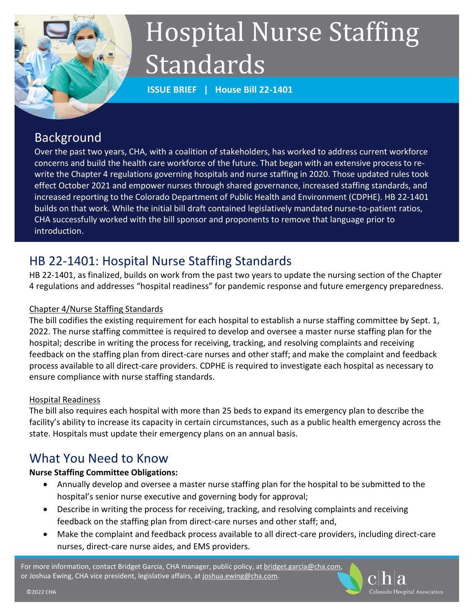

# Hospital Nurse Staffing Standards

**ISSUE BRIEF | House Bill 22-1401**

# Background

Over the past two years, CHA, with a coalition of stakeholders, has worked to address current workforce concerns and build the health care workforce of the future. That began with an extensive process to rewrite the Chapter 4 regulations governing hospitals and nurse staffing in 2020. Those updated rules took effect October 2021 and empower nurses through shared governance, increased staffing standards, and increased reporting to the Colorado Department of Public Health and Environment (CDPHE). HB 22-1401 builds on that work. While the initial bill draft contained legislatively mandated nurse-to-patient ratios, CHA successfully worked with the bill sponsor and proponents to remove that language prior to introduction.

# HB 22-1401: Hospital Nurse Staffing Standards

HB 22-1401, as finalized, builds on work from the past two years to update the nursing section of the Chapter 4 regulations and addresses "hospital readiness" for pandemic response and future emergency preparedness.

## Chapter 4/Nurse Staffing Standards

The bill codifies the existing requirement for each hospital to establish a nurse staffing committee by Sept. 1, 2022. The nurse staffing committee is required to develop and oversee a master nurse staffing plan for the hospital; describe in writing the process for receiving, tracking, and resolving complaints and receiving feedback on the staffing plan from direct-care nurses and other staff; and make the complaint and feedback process available to all direct-care providers. CDPHE is required to investigate each hospital as necessary to ensure compliance with nurse staffing standards.

### Hospital Readiness

The bill also requires each hospital with more than 25 beds to expand its emergency plan to describe the facility's ability to increase its capacity in certain circumstances, such as a public health emergency across the state. Hospitals must update their emergency plans on an annual basis.

# What You Need to Know

## **Nurse Staffing Committee Obligations:**

- Annually develop and oversee a master nurse staffing plan for the hospital to be submitted to the hospital's senior nurse executive and governing body for approval;
- Describe in writing the process for receiving, tracking, and resolving complaints and receiving feedback on the staffing plan from direct-care nurses and other staff; and,
- Make the complaint and feedback process available to all direct-care providers, including direct-care nurses, direct-care nurse aides, and EMS providers.

For more information, contact Bridget Garcia, CHA manager, public policy, at bridget.garcia@cha.com, or Joshua Ewing, CHA vice president, legislative affairs, a[t joshua.ewing@cha.com.](mailto:joshua.ewing@cha.com)

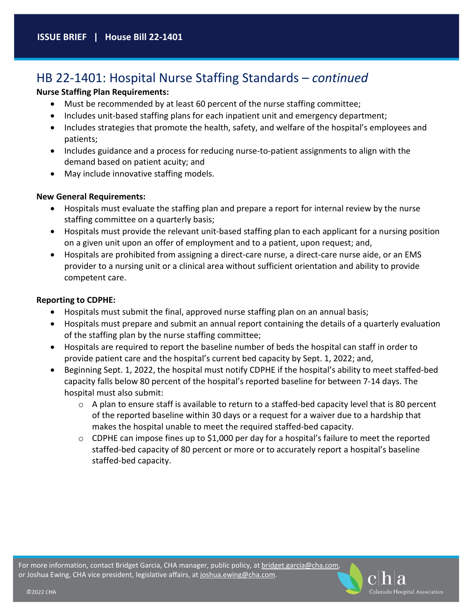## HB 22-1401: Hospital Nurse Staffing Standards – *continued*

#### **Nurse Staffing Plan Requirements:**

- Must be recommended by at least 60 percent of the nurse staffing committee;
- Includes unit-based staffing plans for each inpatient unit and emergency department;
- Includes strategies that promote the health, safety, and welfare of the hospital's employees and patients;
- Includes guidance and a process for reducing nurse-to-patient assignments to align with the demand based on patient acuity; and
- May include innovative staffing models.

#### **New General Requirements:**

- Hospitals must evaluate the staffing plan and prepare a report for internal review by the nurse staffing committee on a quarterly basis;
- Hospitals must provide the relevant unit-based staffing plan to each applicant for a nursing position on a given unit upon an offer of employment and to a patient, upon request; and,
- Hospitals are prohibited from assigning a direct-care nurse, a direct-care nurse aide, or an EMS provider to a nursing unit or a clinical area without sufficient orientation and ability to provide competent care.

#### **Reporting to CDPHE:**

- Hospitals must submit the final, approved nurse staffing plan on an annual basis;
- Hospitals must prepare and submit an annual report containing the details of a quarterly evaluation of the staffing plan by the nurse staffing committee;
- Hospitals are required to report the baseline number of beds the hospital can staff in order to provide patient care and the hospital's current bed capacity by Sept. 1, 2022; and,
- Beginning Sept. 1, 2022, the hospital must notify CDPHE if the hospital's ability to meet staffed-bed capacity falls below 80 percent of the hospital's reported baseline for between 7-14 days. The hospital must also submit:
	- o A plan to ensure staff is available to return to a staffed-bed capacity level that is 80 percent of the reported baseline within 30 days or a request for a waiver due to a hardship that makes the hospital unable to meet the required staffed-bed capacity.
	- o CDPHE can impose fines up to \$1,000 per day for a hospital's failure to meet the reported staffed-bed capacity of 80 percent or more or to accurately report a hospital's baseline staffed-bed capacity.

For more information, contact Bridget Garcia, CHA manager, public policy, at bridget.garcia@cha.com, or Joshua Ewing, CHA vice president, legislative affairs, a[t joshua.ewing@cha.com.](mailto:joshua.ewing@cha.com)